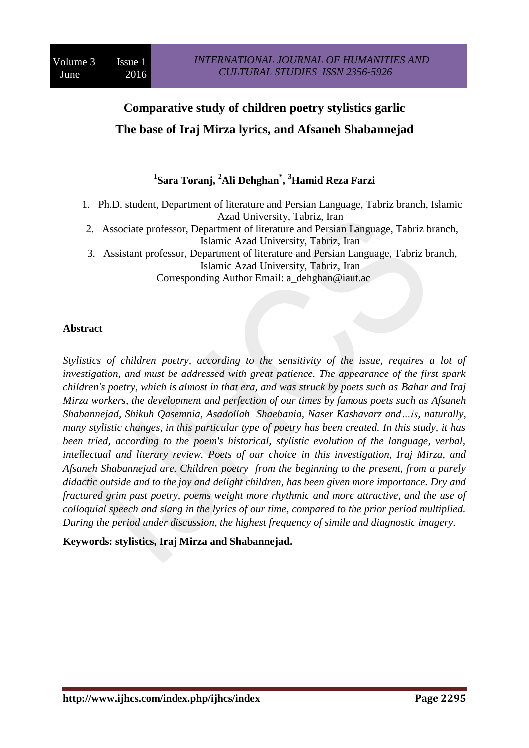# **Comparative study of children poetry stylistics garlic The base of Iraj Mirza lyrics, and Afsaneh Shabannejad**

# **1 Sara Toranj, <sup>2</sup>Ali Dehghan\* , <sup>3</sup>Hamid Reza Farzi**

- 1. Ph.D. student, Department of literature and Persian Language, Tabriz branch, Islamic Azad University, Tabriz, Iran
- 2. Associate professor, Department of literature and Persian Language, Tabriz branch, Islamic Azad University, Tabriz, Iran
- 3. Assistant professor, Department of literature and Persian Language, Tabriz branch, Islamic Azad University, Tabriz, Iran

Corresponding Author Email: a\_dehghan@iaut.ac

## **Abstract**

*Stylistics of children poetry, according to the sensitivity of the issue, requires a lot of investigation, and must be addressed with great patience. The appearance of the first spark children's poetry, which is almost in that era, and was struck by poets such as Bahar and Iraj Mirza workers, the development and perfection of our times by famous poets such as Afsaneh Shabannejad, Shikuh Qasemnia, Asadollah Shaebania, Naser Kashavarz and…is, naturally, many stylistic changes, in this particular type of poetry has been created. In this study, it has been tried, according to the poem's historical, stylistic evolution of the language, verbal, intellectual and literary review. Poets of our choice in this investigation, Iraj Mirza, and Afsaneh Shabannejad are. Children poetry from the beginning to the present, from a purely didactic outside and to the joy and delight children, has been given more importance. Dry and fractured grim past poetry, poems weight more rhythmic and more attractive, and the use of colloquial speech and slang in the lyrics of our time, compared to the prior period multiplied. During the period under discussion, the highest frequency of simile and diagnostic imagery.*

## **Keywords: stylistics, Iraj Mirza and Shabannejad.**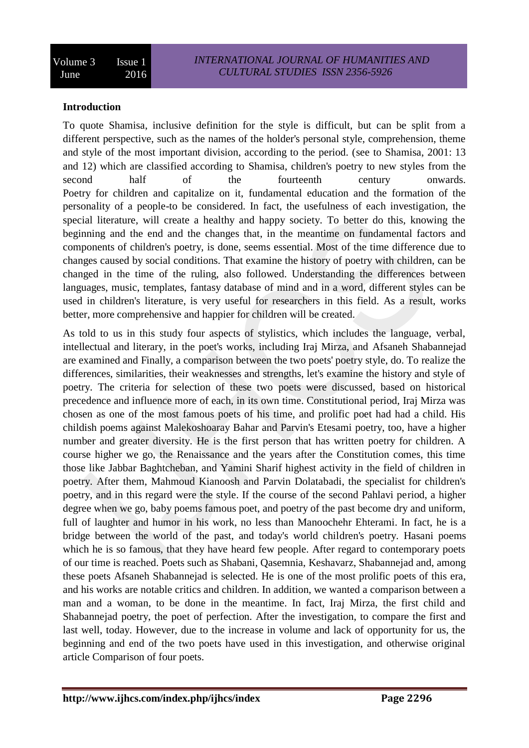## **Introduction**

To quote Shamisa, inclusive definition for the style is difficult, but can be split from a different perspective, such as the names of the holder's personal style, comprehension, theme and style of the most important division, according to the period. (see to Shamisa, 2001: 13 and 12) which are classified according to Shamisa, children's poetry to new styles from the second half of the fourteenth century onwards. Poetry for children and capitalize on it, fundamental education and the formation of the personality of a people-to be considered. In fact, the usefulness of each investigation, the special literature, will create a healthy and happy society. To better do this, knowing the beginning and the end and the changes that, in the meantime on fundamental factors and components of children's poetry, is done, seems essential. Most of the time difference due to changes caused by social conditions. That examine the history of poetry with children, can be changed in the time of the ruling, also followed. Understanding the differences between languages, music, templates, fantasy database of mind and in a word, different styles can be used in children's literature, is very useful for researchers in this field. As a result, works better, more comprehensive and happier for children will be created.

As told to us in this study four aspects of stylistics, which includes the language, verbal, intellectual and literary, in the poet's works, including Iraj Mirza, and Afsaneh Shabannejad are examined and Finally, a comparison between the two poets' poetry style, do. To realize the differences, similarities, their weaknesses and strengths, let's examine the history and style of poetry. The criteria for selection of these two poets were discussed, based on historical precedence and influence more of each, in its own time. Constitutional period, Iraj Mirza was chosen as one of the most famous poets of his time, and prolific poet had had a child. His childish poems against Malekoshoaray Bahar and Parvin's Etesami poetry, too, have a higher number and greater diversity. He is the first person that has written poetry for children. A course higher we go, the Renaissance and the years after the Constitution comes, this time those like Jabbar Baghtcheban, and Yamini Sharif highest activity in the field of children in poetry. After them, Mahmoud Kianoosh and Parvin Dolatabadi, the specialist for children's poetry, and in this regard were the style. If the course of the second Pahlavi period, a higher degree when we go, baby poems famous poet, and poetry of the past become dry and uniform, full of laughter and humor in his work, no less than Manoochehr Ehterami. In fact, he is a bridge between the world of the past, and today's world children's poetry. Hasani poems which he is so famous, that they have heard few people. After regard to contemporary poets of our time is reached. Poets such as Shabani, Qasemnia, Keshavarz, Shabannejad and, among these poets Afsaneh Shabannejad is selected. He is one of the most prolific poets of this era, and his works are notable critics and children. In addition, we wanted a comparison between a man and a woman, to be done in the meantime. In fact, Iraj Mirza, the first child and Shabannejad poetry, the poet of perfection. After the investigation, to compare the first and last well, today. However, due to the increase in volume and lack of opportunity for us, the beginning and end of the two poets have used in this investigation, and otherwise original article Comparison of four poets.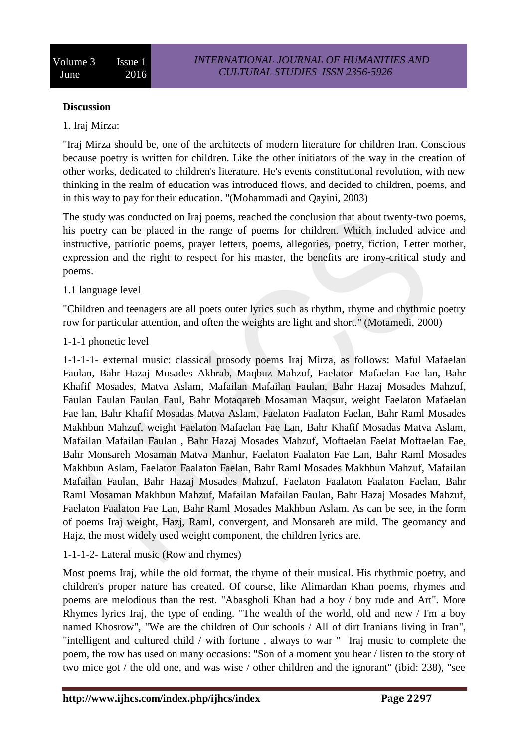#### **Discussion**

## 1. Iraj Mirza:

"Iraj Mirza should be, one of the architects of modern literature for children Iran. Conscious because poetry is written for children. Like the other initiators of the way in the creation of other works, dedicated to children's literature. He's events constitutional revolution, with new thinking in the realm of education was introduced flows, and decided to children, poems, and in this way to pay for their education. "(Mohammadi and Qayini, 2003)

The study was conducted on Iraj poems, reached the conclusion that about twenty-two poems, his poetry can be placed in the range of poems for children. Which included advice and instructive, patriotic poems, prayer letters, poems, allegories, poetry, fiction, Letter mother, expression and the right to respect for his master, the benefits are irony-critical study and poems.

## 1.1 language level

"Children and teenagers are all poets outer lyrics such as rhythm, rhyme and rhythmic poetry row for particular attention, and often the weights are light and short." (Motamedi, 2000)

#### 1-1-1 phonetic level

1-1-1-1- external music: classical prosody poems Iraj Mirza, as follows: Maful Mafaelan Faulan, Bahr Hazaj Mosades Akhrab, Maqbuz Mahzuf, Faelaton Mafaelan Fae lan, Bahr Khafif Mosades, Matva Aslam, Mafailan Mafailan Faulan, Bahr Hazaj Mosades Mahzuf, Faulan Faulan Faulan Faul, Bahr Motaqareb Mosaman Maqsur, weight Faelaton Mafaelan Fae lan, Bahr Khafif Mosadas Matva Aslam, Faelaton Faalaton Faelan, Bahr Raml Mosades Makhbun Mahzuf, weight Faelaton Mafaelan Fae Lan, Bahr Khafif Mosadas Matva Aslam, Mafailan Mafailan Faulan , Bahr Hazaj Mosades Mahzuf, Moftaelan Faelat Moftaelan Fae, Bahr Monsareh Mosaman Matva Manhur, Faelaton Faalaton Fae Lan, Bahr Raml Mosades Makhbun Aslam, Faelaton Faalaton Faelan, Bahr Raml Mosades Makhbun Mahzuf, Mafailan Mafailan Faulan, Bahr Hazaj Mosades Mahzuf, Faelaton Faalaton Faalaton Faelan, Bahr Raml Mosaman Makhbun Mahzuf, Mafailan Mafailan Faulan, Bahr Hazaj Mosades Mahzuf, Faelaton Faalaton Fae Lan, Bahr Raml Mosades Makhbun Aslam. As can be see, in the form of poems Iraj weight, Hazj, Raml, convergent, and Monsareh are mild. The geomancy and Hajz, the most widely used weight component, the children lyrics are.

## 1-1-1-2- Lateral music (Row and rhymes)

Most poems Iraj, while the old format, the rhyme of their musical. His rhythmic poetry, and children's proper nature has created. Of course, like Alimardan Khan poems, rhymes and poems are melodious than the rest. "Abasgholi Khan had a boy / boy rude and Art". More Rhymes lyrics Iraj, the type of ending. "The wealth of the world, old and new / I'm a boy named Khosrow", "We are the children of Our schools / All of dirt Iranians living in Iran", "intelligent and cultured child / with fortune , always to war " Iraj music to complete the poem, the row has used on many occasions: "Son of a moment you hear / listen to the story of two mice got / the old one, and was wise / other children and the ignorant" (ibid: 238), "see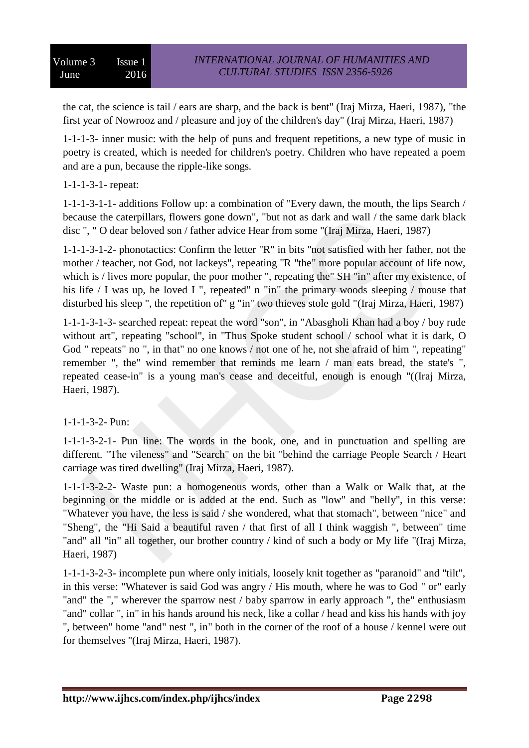the cat, the science is tail / ears are sharp, and the back is bent" (Iraj Mirza, Haeri, 1987), "the first year of Nowrooz and / pleasure and joy of the children's day" (Iraj Mirza, Haeri, 1987)

1-1-1-3- inner music: with the help of puns and frequent repetitions, a new type of music in poetry is created, which is needed for children's poetry. Children who have repeated a poem and are a pun, because the ripple-like songs.

# 1-1-1-3-1- repeat:

1-1-1-3-1-1- additions Follow up: a combination of "Every dawn, the mouth, the lips Search / because the caterpillars, flowers gone down", "but not as dark and wall / the same dark black disc ", " O dear beloved son / father advice Hear from some "(Iraj Mirza, Haeri, 1987)

1-1-1-3-1-2- phonotactics: Confirm the letter "R" in bits "not satisfied with her father, not the mother / teacher, not God, not lackeys", repeating "R "the" more popular account of life now, which is / lives more popular, the poor mother ", repeating the" SH "in" after my existence, of his life / I was up, he loved I ", repeated" n "in" the primary woods sleeping / mouse that disturbed his sleep ", the repetition of" g "in" two thieves stole gold "(Iraj Mirza, Haeri, 1987)

1-1-1-3-1-3- searched repeat: repeat the word "son", in "Abasgholi Khan had a boy / boy rude without art", repeating "school", in "Thus Spoke student school / school what it is dark, O God " repeats" no ", in that" no one knows / not one of he, not she afraid of him ", repeating" remember ", the" wind remember that reminds me learn / man eats bread, the state's ", repeated cease-in" is a young man's cease and deceitful, enough is enough "((Iraj Mirza, Haeri, 1987).

# 1-1-1-3-2- Pun:

1-1-1-3-2-1- Pun line: The words in the book, one, and in punctuation and spelling are different. "The vileness" and "Search" on the bit "behind the carriage People Search / Heart carriage was tired dwelling" (Iraj Mirza, Haeri, 1987).

1-1-1-3-2-2- Waste pun: a homogeneous words, other than a Walk or Walk that, at the beginning or the middle or is added at the end. Such as "low" and "belly", in this verse: "Whatever you have, the less is said / she wondered, what that stomach", between "nice" and "Sheng", the "Hi Said a beautiful raven / that first of all I think waggish ", between" time "and" all "in" all together, our brother country / kind of such a body or My life "(Iraj Mirza, Haeri, 1987)

1-1-1-3-2-3- incomplete pun where only initials, loosely knit together as "paranoid" and "tilt", in this verse: "Whatever is said God was angry / His mouth, where he was to God " or" early "and" the "," wherever the sparrow nest / baby sparrow in early approach ", the" enthusiasm "and" collar ", in" in his hands around his neck, like a collar / head and kiss his hands with joy ", between" home "and" nest ", in" both in the corner of the roof of a house / kennel were out for themselves "(Iraj Mirza, Haeri, 1987).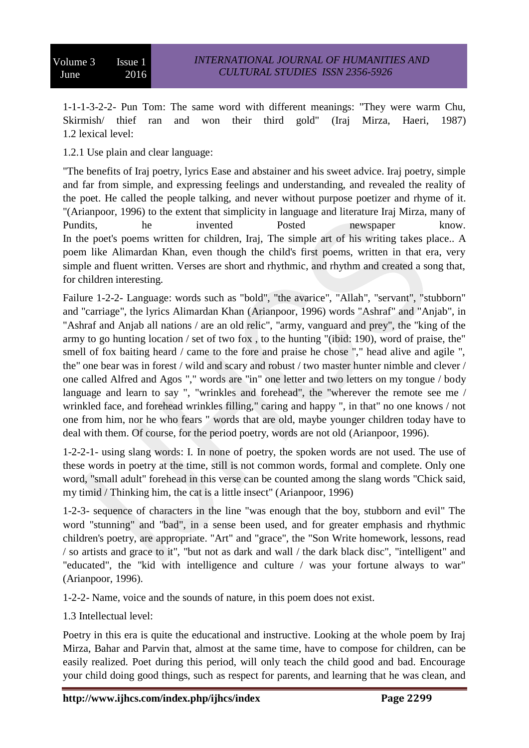1-1-1-3-2-2- Pun Tom: The same word with different meanings: "They were warm Chu, Skirmish/ thief ran and won their third gold" (Iraj Mirza, Haeri, 1987) 1.2 lexical level:

1.2.1 Use plain and clear language:

"The benefits of Iraj poetry, lyrics Ease and abstainer and his sweet advice. Iraj poetry, simple and far from simple, and expressing feelings and understanding, and revealed the reality of the poet. He called the people talking, and never without purpose poetizer and rhyme of it. "(Arianpoor, 1996) to the extent that simplicity in language and literature Iraj Mirza, many of Pundits, he invented Posted newspaper know. In the poet's poems written for children, Iraj, The simple art of his writing takes place.. A poem like Alimardan Khan, even though the child's first poems, written in that era, very simple and fluent written. Verses are short and rhythmic, and rhythm and created a song that, for children interesting.

Failure 1-2-2- Language: words such as "bold", "the avarice", "Allah", "servant", "stubborn" and "carriage", the lyrics Alimardan Khan (Arianpoor, 1996) words "Ashraf" and "Anjab", in "Ashraf and Anjab all nations / are an old relic", "army, vanguard and prey", the "king of the army to go hunting location / set of two fox , to the hunting "(ibid: 190), word of praise, the" smell of fox baiting heard / came to the fore and praise he chose "," head alive and agile ", the" one bear was in forest / wild and scary and robust / two master hunter nimble and clever / one called Alfred and Agos "," words are "in" one letter and two letters on my tongue / body language and learn to say ", "wrinkles and forehead", the "wherever the remote see me / wrinkled face, and forehead wrinkles filling," caring and happy ", in that" no one knows / not one from him, nor he who fears " words that are old, maybe younger children today have to deal with them. Of course, for the period poetry, words are not old (Arianpoor, 1996).

1-2-2-1- using slang words: I. In none of poetry, the spoken words are not used. The use of these words in poetry at the time, still is not common words, formal and complete. Only one word, "small adult" forehead in this verse can be counted among the slang words "Chick said, my timid / Thinking him, the cat is a little insect" (Arianpoor, 1996)

1-2-3- sequence of characters in the line "was enough that the boy, stubborn and evil" The word "stunning" and "bad", in a sense been used, and for greater emphasis and rhythmic children's poetry, are appropriate. "Art" and "grace", the "Son Write homework, lessons, read / so artists and grace to it", "but not as dark and wall / the dark black disc", "intelligent" and "educated", the "kid with intelligence and culture / was your fortune always to war" (Arianpoor, 1996).

1-2-2- Name, voice and the sounds of nature, in this poem does not exist.

1.3 Intellectual level:

Poetry in this era is quite the educational and instructive. Looking at the whole poem by Iraj Mirza, Bahar and Parvin that, almost at the same time, have to compose for children, can be easily realized. Poet during this period, will only teach the child good and bad. Encourage your child doing good things, such as respect for parents, and learning that he was clean, and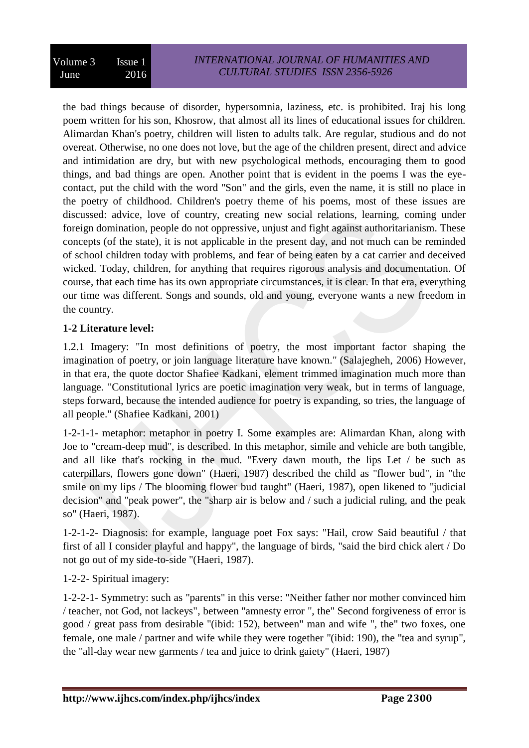the bad things because of disorder, hypersomnia, laziness, etc. is prohibited. Iraj his long poem written for his son, Khosrow, that almost all its lines of educational issues for children. Alimardan Khan's poetry, children will listen to adults talk. Are regular, studious and do not overeat. Otherwise, no one does not love, but the age of the children present, direct and advice and intimidation are dry, but with new psychological methods, encouraging them to good things, and bad things are open. Another point that is evident in the poems I was the eyecontact, put the child with the word "Son" and the girls, even the name, it is still no place in the poetry of childhood. Children's poetry theme of his poems, most of these issues are discussed: advice, love of country, creating new social relations, learning, coming under foreign domination, people do not oppressive, unjust and fight against authoritarianism. These concepts (of the state), it is not applicable in the present day, and not much can be reminded of school children today with problems, and fear of being eaten by a cat carrier and deceived wicked. Today, children, for anything that requires rigorous analysis and documentation. Of course, that each time has its own appropriate circumstances, it is clear. In that era, everything our time was different. Songs and sounds, old and young, everyone wants a new freedom in the country.

# **1-2 Literature level:**

1.2.1 Imagery: "In most definitions of poetry, the most important factor shaping the imagination of poetry, or join language literature have known." (Salajegheh, 2006) However, in that era, the quote doctor Shafiee Kadkani, element trimmed imagination much more than language. "Constitutional lyrics are poetic imagination very weak, but in terms of language, steps forward, because the intended audience for poetry is expanding, so tries, the language of all people." (Shafiee Kadkani, 2001)

1-2-1-1- metaphor: metaphor in poetry I. Some examples are: Alimardan Khan, along with Joe to "cream-deep mud", is described. In this metaphor, simile and vehicle are both tangible, and all like that's rocking in the mud. "Every dawn mouth, the lips Let / be such as caterpillars, flowers gone down" (Haeri, 1987) described the child as "flower bud", in "the smile on my lips / The blooming flower bud taught" (Haeri, 1987), open likened to "judicial decision" and "peak power", the "sharp air is below and / such a judicial ruling, and the peak so" (Haeri, 1987).

1-2-1-2- Diagnosis: for example, language poet Fox says: "Hail, crow Said beautiful / that first of all I consider playful and happy", the language of birds, "said the bird chick alert / Do not go out of my side-to-side "(Haeri, 1987).

1-2-2- Spiritual imagery:

1-2-2-1- Symmetry: such as "parents" in this verse: "Neither father nor mother convinced him / teacher, not God, not lackeys", between "amnesty error ", the" Second forgiveness of error is good / great pass from desirable "(ibid: 152), between" man and wife ", the" two foxes, one female, one male / partner and wife while they were together "(ibid: 190), the "tea and syrup", the "all-day wear new garments / tea and juice to drink gaiety" (Haeri, 1987)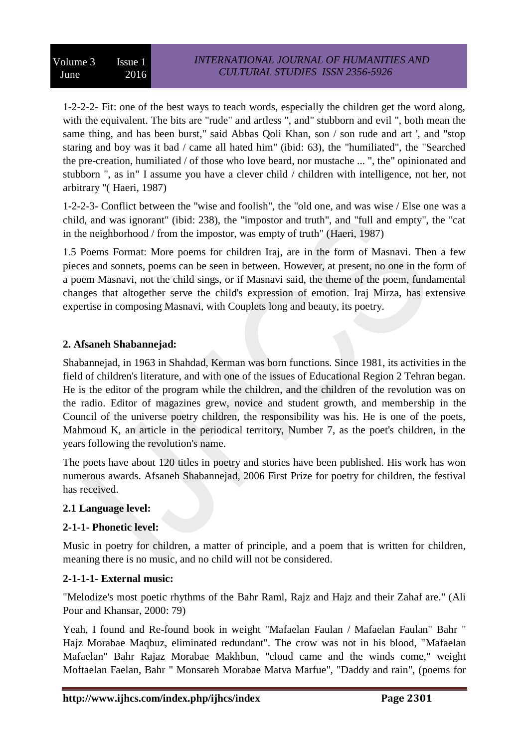1-2-2-2- Fit: one of the best ways to teach words, especially the children get the word along, with the equivalent. The bits are "rude" and artless ", and" stubborn and evil ", both mean the same thing, and has been burst," said Abbas Qoli Khan, son / son rude and art ', and "stop staring and boy was it bad / came all hated him" (ibid: 63), the "humiliated", the "Searched the pre-creation, humiliated / of those who love beard, nor mustache ... ", the" opinionated and stubborn ", as in" I assume you have a clever child / children with intelligence, not her, not arbitrary "( Haeri, 1987)

1-2-2-3- Conflict between the "wise and foolish", the "old one, and was wise / Else one was a child, and was ignorant" (ibid: 238), the "impostor and truth", and "full and empty", the "cat in the neighborhood / from the impostor, was empty of truth" (Haeri, 1987)

1.5 Poems Format: More poems for children Iraj, are in the form of Masnavi. Then a few pieces and sonnets, poems can be seen in between. However, at present, no one in the form of a poem Masnavi, not the child sings, or if Masnavi said, the theme of the poem, fundamental changes that altogether serve the child's expression of emotion. Iraj Mirza, has extensive expertise in composing Masnavi, with Couplets long and beauty, its poetry.

# **2. Afsaneh Shabannejad:**

Shabannejad, in 1963 in Shahdad, Kerman was born functions. Since 1981, its activities in the field of children's literature, and with one of the issues of Educational Region 2 Tehran began. He is the editor of the program while the children, and the children of the revolution was on the radio. Editor of magazines grew, novice and student growth, and membership in the Council of the universe poetry children, the responsibility was his. He is one of the poets, Mahmoud K, an article in the periodical territory, Number 7, as the poet's children, in the years following the revolution's name.

The poets have about 120 titles in poetry and stories have been published. His work has won numerous awards. Afsaneh Shabannejad, 2006 First Prize for poetry for children, the festival has received.

# **2.1 Language level:**

# **2-1-1- Phonetic level:**

Music in poetry for children, a matter of principle, and a poem that is written for children, meaning there is no music, and no child will not be considered.

# **2-1-1-1- External music:**

"Melodize's most poetic rhythms of the Bahr Raml, Rajz and Hajz and their Zahaf are." (Ali Pour and Khansar, 2000: 79)

Yeah, I found and Re-found book in weight "Mafaelan Faulan / Mafaelan Faulan" Bahr " Hajz Morabae Maqbuz, eliminated redundant". The crow was not in his blood, "Mafaelan Mafaelan" Bahr Rajaz Morabae Makhbun, "cloud came and the winds come," weight Moftaelan Faelan, Bahr " Monsareh Morabae Matva Marfue", "Daddy and rain", (poems for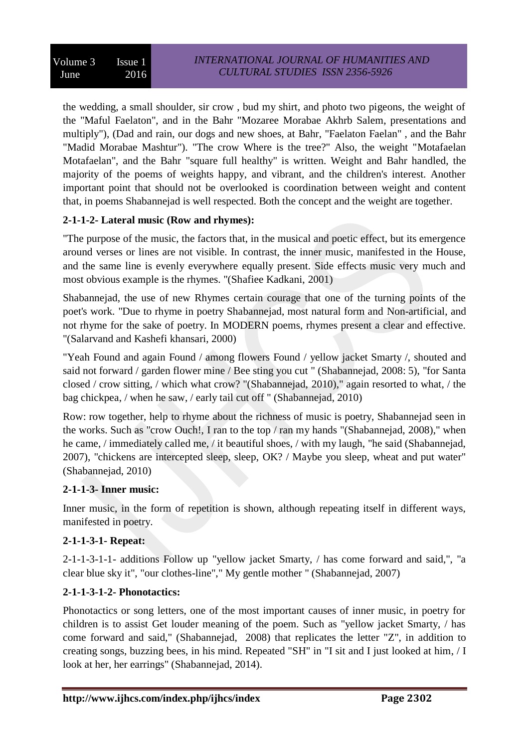the wedding, a small shoulder, sir crow , bud my shirt, and photo two pigeons, the weight of the "Maful Faelaton", and in the Bahr "Mozaree Morabae Akhrb Salem, presentations and multiply"), (Dad and rain, our dogs and new shoes, at Bahr, "Faelaton Faelan" , and the Bahr "Madid Morabae Mashtur"). "The crow Where is the tree?" Also, the weight "Motafaelan Motafaelan", and the Bahr "square full healthy" is written. Weight and Bahr handled, the majority of the poems of weights happy, and vibrant, and the children's interest. Another important point that should not be overlooked is coordination between weight and content that, in poems Shabannejad is well respected. Both the concept and the weight are together.

# **2-1-1-2- Lateral music (Row and rhymes):**

"The purpose of the music, the factors that, in the musical and poetic effect, but its emergence around verses or lines are not visible. In contrast, the inner music, manifested in the House, and the same line is evenly everywhere equally present. Side effects music very much and most obvious example is the rhymes. "(Shafiee Kadkani, 2001)

Shabannejad, the use of new Rhymes certain courage that one of the turning points of the poet's work. "Due to rhyme in poetry Shabannejad, most natural form and Non-artificial, and not rhyme for the sake of poetry. In MODERN poems, rhymes present a clear and effective. "(Salarvand and Kashefi khansari, 2000)

"Yeah Found and again Found / among flowers Found / yellow jacket Smarty /, shouted and said not forward / garden flower mine / Bee sting you cut " (Shabannejad, 2008: 5), "for Santa closed / crow sitting, / which what crow? "(Shabannejad, 2010)," again resorted to what, / the bag chickpea, / when he saw, / early tail cut off " (Shabannejad, 2010)

Row: row together, help to rhyme about the richness of music is poetry, Shabannejad seen in the works. Such as "crow Ouch!, I ran to the top / ran my hands "(Shabannejad, 2008)," when he came, / immediately called me, / it beautiful shoes, / with my laugh, "he said (Shabannejad, 2007), "chickens are intercepted sleep, sleep, OK? / Maybe you sleep, wheat and put water" (Shabannejad, 2010)

# **2-1-1-3- Inner music:**

Inner music, in the form of repetition is shown, although repeating itself in different ways, manifested in poetry.

# **2-1-1-3-1- Repeat:**

2-1-1-3-1-1- additions Follow up "yellow jacket Smarty, / has come forward and said,", "a clear blue sky it", "our clothes-line"," My gentle mother " (Shabannejad, 2007)

# **2-1-1-3-1-2- Phonotactics:**

Phonotactics or song letters, one of the most important causes of inner music, in poetry for children is to assist Get louder meaning of the poem. Such as "yellow jacket Smarty, / has come forward and said," (Shabannejad, 2008) that replicates the letter "Z", in addition to creating songs, buzzing bees, in his mind. Repeated "SH" in "I sit and I just looked at him, / I look at her, her earrings" (Shabannejad, 2014).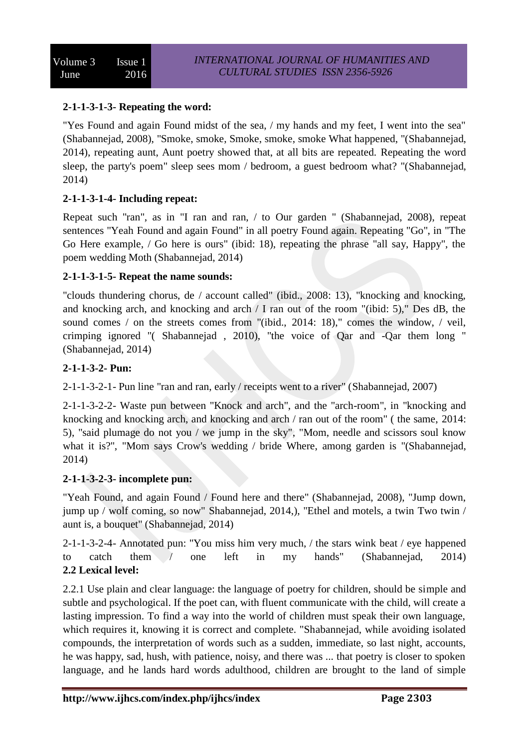# **2-1-1-3-1-3- Repeating the word:**

"Yes Found and again Found midst of the sea, / my hands and my feet, I went into the sea" (Shabannejad, 2008), "Smoke, smoke, Smoke, smoke, smoke What happened, "(Shabannejad, 2014), repeating aunt, Aunt poetry showed that, at all bits are repeated. Repeating the word sleep, the party's poem" sleep sees mom / bedroom, a guest bedroom what? "(Shabannejad, 2014)

# **2-1-1-3-1-4- Including repeat:**

Repeat such "ran", as in "I ran and ran, / to Our garden " (Shabannejad, 2008), repeat sentences "Yeah Found and again Found" in all poetry Found again. Repeating "Go", in "The Go Here example, / Go here is ours" (ibid: 18), repeating the phrase "all say, Happy", the poem wedding Moth (Shabannejad, 2014)

# **2-1-1-3-1-5- Repeat the name sounds:**

"clouds thundering chorus, de / account called" (ibid., 2008: 13), "knocking and knocking, and knocking arch, and knocking and arch / I ran out of the room "(ibid: 5)," Des dB, the sound comes / on the streets comes from "(ibid., 2014: 18)," comes the window, / veil, crimping ignored "( Shabannejad , 2010), "the voice of Qar and -Qar them long " (Shabannejad, 2014)

# **2-1-1-3-2- Pun:**

2-1-1-3-2-1- Pun line "ran and ran, early / receipts went to a river" (Shabannejad, 2007)

2-1-1-3-2-2- Waste pun between "Knock and arch", and the "arch-room", in "knocking and knocking and knocking arch, and knocking and arch / ran out of the room" ( the same, 2014: 5), "said plumage do not you / we jump in the sky", "Mom, needle and scissors soul know what it is?", "Mom says Crow's wedding / bride Where, among garden is "(Shabannejad, 2014)

## **2-1-1-3-2-3- incomplete pun:**

"Yeah Found, and again Found / Found here and there" (Shabannejad, 2008), "Jump down, jump up / wolf coming, so now" Shabannejad, 2014,), "Ethel and motels, a twin Two twin / aunt is, a bouquet" (Shabannejad, 2014)

2-1-1-3-2-4- Annotated pun: "You miss him very much, / the stars wink beat / eye happened to catch them / one left in my hands" (Shabannejad, 2014) **2.2 Lexical level:**

2.2.1 Use plain and clear language: the language of poetry for children, should be simple and subtle and psychological. If the poet can, with fluent communicate with the child, will create a lasting impression. To find a way into the world of children must speak their own language, which requires it, knowing it is correct and complete. "Shabannejad, while avoiding isolated compounds, the interpretation of words such as a sudden, immediate, so last night, accounts, he was happy, sad, hush, with patience, noisy, and there was ... that poetry is closer to spoken language, and he lands hard words adulthood, children are brought to the land of simple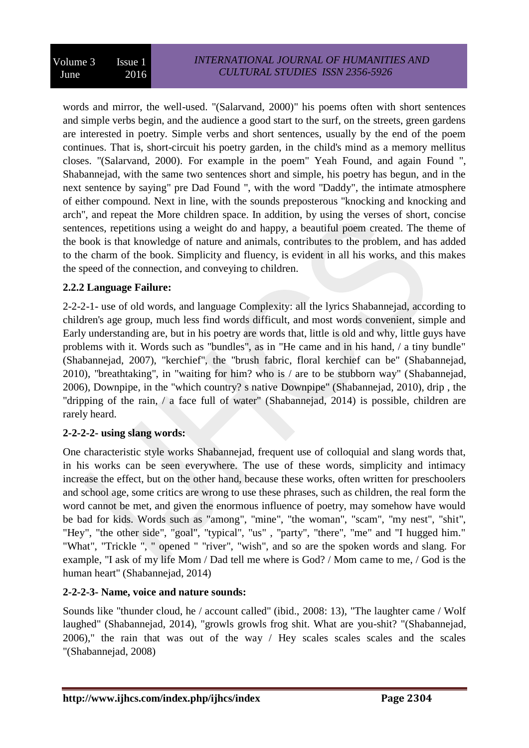words and mirror, the well-used. "(Salarvand, 2000)" his poems often with short sentences and simple verbs begin, and the audience a good start to the surf, on the streets, green gardens are interested in poetry. Simple verbs and short sentences, usually by the end of the poem continues. That is, short-circuit his poetry garden, in the child's mind as a memory mellitus closes. "(Salarvand, 2000). For example in the poem" Yeah Found, and again Found ", Shabannejad, with the same two sentences short and simple, his poetry has begun, and in the next sentence by saying" pre Dad Found ", with the word "Daddy", the intimate atmosphere of either compound. Next in line, with the sounds preposterous "knocking and knocking and arch", and repeat the More children space. In addition, by using the verses of short, concise sentences, repetitions using a weight do and happy, a beautiful poem created. The theme of the book is that knowledge of nature and animals, contributes to the problem, and has added to the charm of the book. Simplicity and fluency, is evident in all his works, and this makes the speed of the connection, and conveying to children.

# **2.2.2 Language Failure:**

2-2-2-1- use of old words, and language Complexity: all the lyrics Shabannejad, according to children's age group, much less find words difficult, and most words convenient, simple and Early understanding are, but in his poetry are words that, little is old and why, little guys have problems with it. Words such as "bundles", as in "He came and in his hand, / a tiny bundle" (Shabannejad, 2007), "kerchief", the "brush fabric, floral kerchief can be" (Shabannejad, 2010), "breathtaking", in "waiting for him? who is / are to be stubborn way" (Shabannejad, 2006), Downpipe, in the "which country? s native Downpipe" (Shabannejad, 2010), drip , the "dripping of the rain, / a face full of water" (Shabannejad, 2014) is possible, children are rarely heard.

# **2-2-2-2- using slang words:**

One characteristic style works Shabannejad, frequent use of colloquial and slang words that, in his works can be seen everywhere. The use of these words, simplicity and intimacy increase the effect, but on the other hand, because these works, often written for preschoolers and school age, some critics are wrong to use these phrases, such as children, the real form the word cannot be met, and given the enormous influence of poetry, may somehow have would be bad for kids. Words such as "among", "mine", "the woman", "scam", "my nest", "shit", "Hey", "the other side", "goal", "typical", "us", "party", "there", "me" and "I hugged him." "What", "Trickle ", " opened " "river", "wish", and so are the spoken words and slang. For example, "I ask of my life Mom / Dad tell me where is God? / Mom came to me, / God is the human heart" (Shabannejad, 2014)

# **2-2-2-3- Name, voice and nature sounds:**

Sounds like "thunder cloud, he / account called" (ibid., 2008: 13), "The laughter came / Wolf laughed" (Shabannejad, 2014), "growls growls frog shit. What are you-shit? "(Shabannejad, 2006)," the rain that was out of the way / Hey scales scales scales and the scales "(Shabannejad, 2008)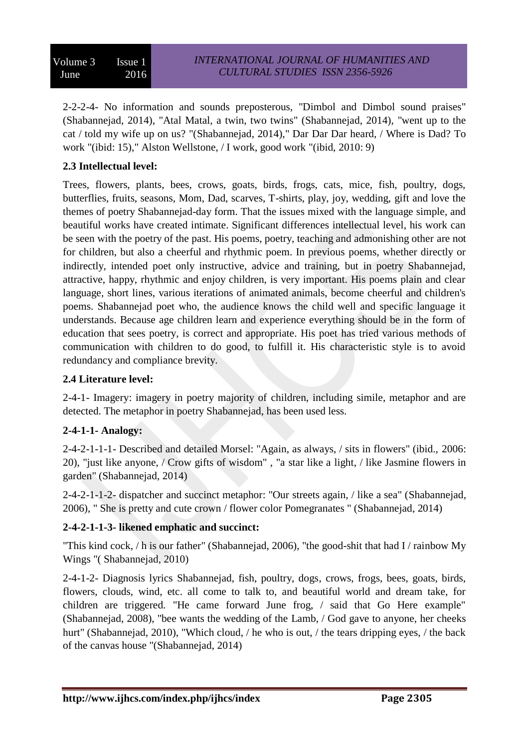2-2-2-4- No information and sounds preposterous, "Dimbol and Dimbol sound praises" (Shabannejad, 2014), "Atal Matal, a twin, two twins" (Shabannejad, 2014), "went up to the cat / told my wife up on us? "(Shabannejad, 2014)," Dar Dar Dar heard, / Where is Dad? To work "(ibid: 15)," Alston Wellstone, / I work, good work "(ibid, 2010: 9)

# **2.3 Intellectual level:**

Trees, flowers, plants, bees, crows, goats, birds, frogs, cats, mice, fish, poultry, dogs, butterflies, fruits, seasons, Mom, Dad, scarves, T-shirts, play, joy, wedding, gift and love the themes of poetry Shabannejad-day form. That the issues mixed with the language simple, and beautiful works have created intimate. Significant differences intellectual level, his work can be seen with the poetry of the past. His poems, poetry, teaching and admonishing other are not for children, but also a cheerful and rhythmic poem. In previous poems, whether directly or indirectly, intended poet only instructive, advice and training, but in poetry Shabannejad, attractive, happy, rhythmic and enjoy children, is very important. His poems plain and clear language, short lines, various iterations of animated animals, become cheerful and children's poems. Shabannejad poet who, the audience knows the child well and specific language it understands. Because age children learn and experience everything should be in the form of education that sees poetry, is correct and appropriate. His poet has tried various methods of communication with children to do good, to fulfill it. His characteristic style is to avoid redundancy and compliance brevity.

# **2.4 Literature level:**

2-4-1- Imagery: imagery in poetry majority of children, including simile, metaphor and are detected. The metaphor in poetry Shabannejad, has been used less.

# **2-4-1-1- Analogy:**

2-4-2-1-1-1- Described and detailed Morsel: "Again, as always, / sits in flowers" (ibid., 2006: 20), "just like anyone, / Crow gifts of wisdom" , "a star like a light, / like Jasmine flowers in garden" (Shabannejad, 2014)

2-4-2-1-1-2- dispatcher and succinct metaphor: "Our streets again, / like a sea" (Shabannejad, 2006), " She is pretty and cute crown / flower color Pomegranates " (Shabannejad, 2014)

# **2-4-2-1-1-3- likened emphatic and succinct:**

"This kind cock, / h is our father" (Shabannejad, 2006), "the good-shit that had I / rainbow My Wings "( Shabannejad, 2010)

2-4-1-2- Diagnosis lyrics Shabannejad, fish, poultry, dogs, crows, frogs, bees, goats, birds, flowers, clouds, wind, etc. all come to talk to, and beautiful world and dream take, for children are triggered. "He came forward June frog, / said that Go Here example" (Shabannejad, 2008), "bee wants the wedding of the Lamb, / God gave to anyone, her cheeks hurt" (Shabannejad, 2010), "Which cloud, / he who is out, / the tears dripping eyes, / the back of the canvas house "(Shabannejad, 2014)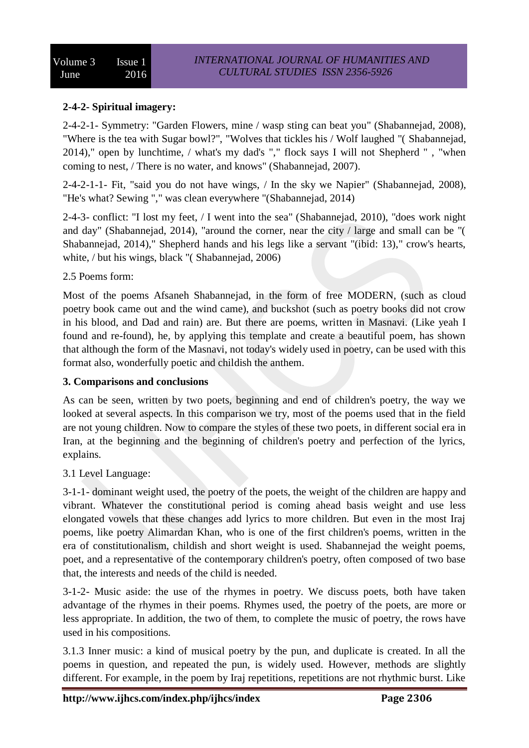# **2-4-2- Spiritual imagery:**

2-4-2-1- Symmetry: "Garden Flowers, mine / wasp sting can beat you" (Shabannejad, 2008), "Where is the tea with Sugar bowl?", "Wolves that tickles his / Wolf laughed "( Shabannejad, 2014)," open by lunchtime, / what's my dad's "," flock says I will not Shepherd " , "when coming to nest, / There is no water, and knows" (Shabannejad, 2007).

2-4-2-1-1- Fit, "said you do not have wings, / In the sky we Napier" (Shabannejad, 2008), "He's what? Sewing "," was clean everywhere "(Shabannejad, 2014)

2-4-3- conflict: "I lost my feet, / I went into the sea" (Shabannejad, 2010), "does work night and day" (Shabannejad, 2014), "around the corner, near the city / large and small can be "( Shabannejad, 2014)," Shepherd hands and his legs like a servant "(ibid: 13)," crow's hearts, white, / but his wings, black "(Shabannejad, 2006)

## 2.5 Poems form:

Most of the poems Afsaneh Shabannejad, in the form of free MODERN, (such as cloud poetry book came out and the wind came), and buckshot (such as poetry books did not crow in his blood, and Dad and rain) are. But there are poems, written in Masnavi. (Like yeah I found and re-found), he, by applying this template and create a beautiful poem, has shown that although the form of the Masnavi, not today's widely used in poetry, can be used with this format also, wonderfully poetic and childish the anthem.

## **3. Comparisons and conclusions**

As can be seen, written by two poets, beginning and end of children's poetry, the way we looked at several aspects. In this comparison we try, most of the poems used that in the field are not young children. Now to compare the styles of these two poets, in different social era in Iran, at the beginning and the beginning of children's poetry and perfection of the lyrics, explains.

# 3.1 Level Language:

3-1-1- dominant weight used, the poetry of the poets, the weight of the children are happy and vibrant. Whatever the constitutional period is coming ahead basis weight and use less elongated vowels that these changes add lyrics to more children. But even in the most Iraj poems, like poetry Alimardan Khan, who is one of the first children's poems, written in the era of constitutionalism, childish and short weight is used. Shabannejad the weight poems, poet, and a representative of the contemporary children's poetry, often composed of two base that, the interests and needs of the child is needed.

3-1-2- Music aside: the use of the rhymes in poetry. We discuss poets, both have taken advantage of the rhymes in their poems. Rhymes used, the poetry of the poets, are more or less appropriate. In addition, the two of them, to complete the music of poetry, the rows have used in his compositions.

3.1.3 Inner music: a kind of musical poetry by the pun, and duplicate is created. In all the poems in question, and repeated the pun, is widely used. However, methods are slightly different. For example, in the poem by Iraj repetitions, repetitions are not rhythmic burst. Like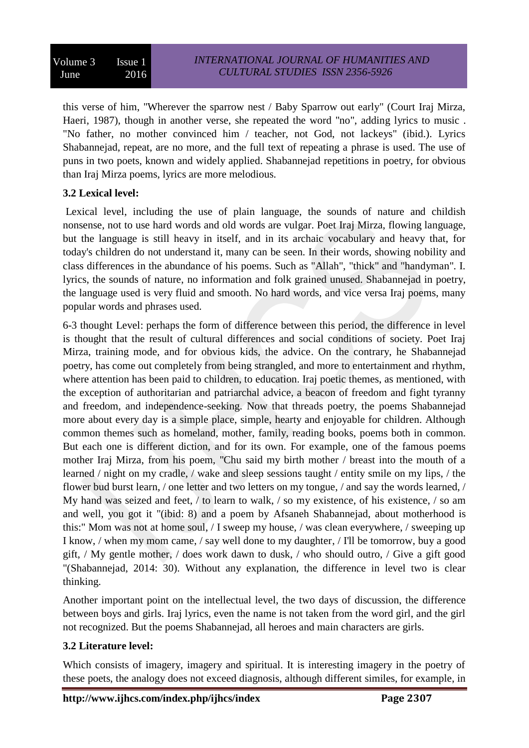this verse of him, "Wherever the sparrow nest / Baby Sparrow out early" (Court Iraj Mirza, Haeri, 1987), though in another verse, she repeated the word "no", adding lyrics to music . "No father, no mother convinced him / teacher, not God, not lackeys" (ibid.). Lyrics Shabannejad, repeat, are no more, and the full text of repeating a phrase is used. The use of puns in two poets, known and widely applied. Shabannejad repetitions in poetry, for obvious than Iraj Mirza poems, lyrics are more melodious.

# **3.2 Lexical level:**

Lexical level, including the use of plain language, the sounds of nature and childish nonsense, not to use hard words and old words are vulgar. Poet Iraj Mirza, flowing language, but the language is still heavy in itself, and in its archaic vocabulary and heavy that, for today's children do not understand it, many can be seen. In their words, showing nobility and class differences in the abundance of his poems. Such as "Allah", "thick" and "handyman". I. lyrics, the sounds of nature, no information and folk grained unused. Shabannejad in poetry, the language used is very fluid and smooth. No hard words, and vice versa Iraj poems, many popular words and phrases used.

6-3 thought Level: perhaps the form of difference between this period, the difference in level is thought that the result of cultural differences and social conditions of society. Poet Iraj Mirza, training mode, and for obvious kids, the advice. On the contrary, he Shabannejad poetry, has come out completely from being strangled, and more to entertainment and rhythm, where attention has been paid to children, to education. Iraj poetic themes, as mentioned, with the exception of authoritarian and patriarchal advice, a beacon of freedom and fight tyranny and freedom, and independence-seeking. Now that threads poetry, the poems Shabannejad more about every day is a simple place, simple, hearty and enjoyable for children. Although common themes such as homeland, mother, family, reading books, poems both in common. But each one is different diction, and for its own. For example, one of the famous poems mother Iraj Mirza, from his poem, "Chu said my birth mother / breast into the mouth of a learned / night on my cradle, / wake and sleep sessions taught / entity smile on my lips, / the flower bud burst learn, / one letter and two letters on my tongue, / and say the words learned, / My hand was seized and feet, / to learn to walk, / so my existence, of his existence, / so am and well, you got it "(ibid: 8) and a poem by Afsaneh Shabannejad, about motherhood is this:" Mom was not at home soul, / I sweep my house, / was clean everywhere, / sweeping up I know, / when my mom came, / say well done to my daughter, / I'll be tomorrow, buy a good gift, / My gentle mother, / does work dawn to dusk, / who should outro, / Give a gift good "(Shabannejad, 2014: 30). Without any explanation, the difference in level two is clear thinking.

Another important point on the intellectual level, the two days of discussion, the difference between boys and girls. Iraj lyrics, even the name is not taken from the word girl, and the girl not recognized. But the poems Shabannejad, all heroes and main characters are girls.

# **3.2 Literature level:**

Which consists of imagery, imagery and spiritual. It is interesting imagery in the poetry of these poets, the analogy does not exceed diagnosis, although different similes, for example, in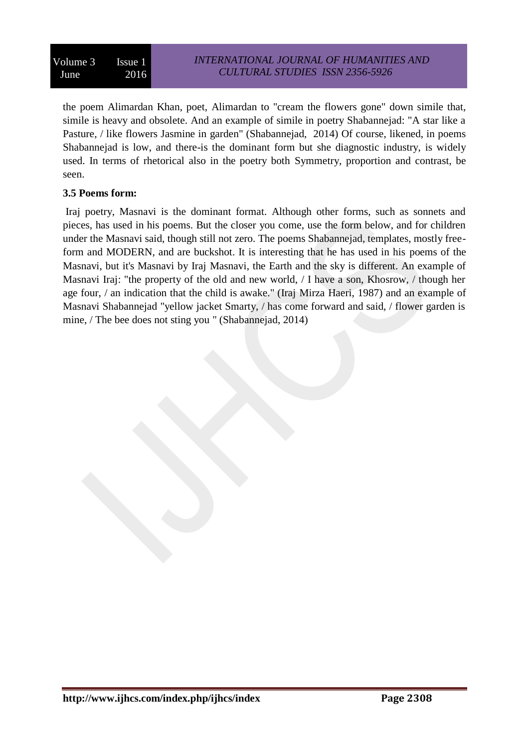the poem Alimardan Khan, poet, Alimardan to "cream the flowers gone" down simile that, simile is heavy and obsolete. And an example of simile in poetry Shabannejad: "A star like a Pasture, / like flowers Jasmine in garden" (Shabannejad, 2014) Of course, likened, in poems Shabannejad is low, and there-is the dominant form but she diagnostic industry, is widely used. In terms of rhetorical also in the poetry both Symmetry, proportion and contrast, be seen.

# **3.5 Poems form:**

Iraj poetry, Masnavi is the dominant format. Although other forms, such as sonnets and pieces, has used in his poems. But the closer you come, use the form below, and for children under the Masnavi said, though still not zero. The poems Shabannejad, templates, mostly freeform and MODERN, and are buckshot. It is interesting that he has used in his poems of the Masnavi, but it's Masnavi by Iraj Masnavi, the Earth and the sky is different. An example of Masnavi Iraj: "the property of the old and new world, / I have a son, Khosrow, / though her age four, / an indication that the child is awake." (Iraj Mirza Haeri, 1987) and an example of Masnavi Shabannejad "yellow jacket Smarty, / has come forward and said, / flower garden is mine, / The bee does not sting you " (Shabannejad, 2014)